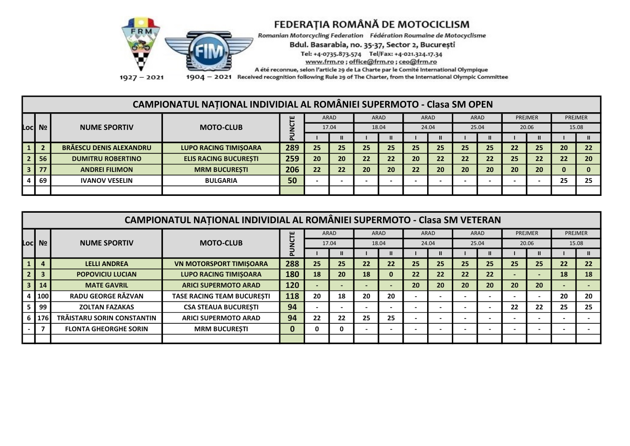

Romanian Motorcycling Federation Fédération Roumaine de Motocyclisme

Bdul. Basarabia, no. 35-37, Sector 2, București

Tel: +4-0735.873.574 Tel/Fax: +4-021.324.17.34

www.frm.ro; office@frm.ro; ceo@frm.ro

A été reconnue, selon l'article 29 de La Charte par le Comité International Olympique

 $1927 - 2021$ 

1904 - 2021 Received recognition following Rule 29 of The Charter, from the International Olympic Committee

#### CAMPIONATUL NAȚIONAL INDIVIDIAL AL ROMÂNIEI SUPERMOTO - Clasa SM OPEN

|                 |                                |                              | ш   |    | ARAD  |    | <b>ARAD</b> |    | <b>ARAD</b> |    | ARAD  |    | PREJMER |    | <b>PREJMER</b> |
|-----------------|--------------------------------|------------------------------|-----|----|-------|----|-------------|----|-------------|----|-------|----|---------|----|----------------|
| Locl Nº         | <b>NUME SPORTIV</b>            | <b>MOTO-CLUB</b>             |     |    | 17.04 |    | 18.04       |    | 24.04       |    | 25.04 |    | 20.06   |    | 15.08          |
|                 |                                |                              | ட   |    |       |    |             |    |             |    |       |    |         |    |                |
|                 | <b>BRĂESCU DENIS ALEXANDRU</b> | <b>LUPO RACING TIMISOARA</b> | 289 | 25 | 25    | 25 | 25          | 25 | 25          | 25 | 25    | 22 | 25      | 20 | 22             |
| 56 <sup>°</sup> | <b>DUMITRU ROBERTINO</b>       | <b>ELIS RACING BUCURESTI</b> | 259 | 20 | 20    | 22 | 22          | 20 | 22          | 22 | 22    | 25 | 22      | 22 | 20             |
| 77              | <b>ANDREI FILIMON</b>          | <b>MRM BUCURESTI</b>         | 206 | 22 | 22    | 20 | 20          | 22 | 20          | 20 | 20    | 20 | 20      | 0  |                |
| -69             | <b>IVANOV VESELIN</b>          | <b>BULGARIA</b>              | 50  |    |       |    |             |    |             |    |       |    |         | 25 | 25             |
|                 |                                |                              |     |    |       |    |             |    |             |    |       |    |         |    |                |

|                         | CAMPIONATUL NATIONAL INDIVIDIAL AL ROMÂNIEI SUPERMOTO - Clasa SM VETERAN |                              |                                   |     |    |       |    |             |    |       |    |                          |    |                |    |                |
|-------------------------|--------------------------------------------------------------------------|------------------------------|-----------------------------------|-----|----|-------|----|-------------|----|-------|----|--------------------------|----|----------------|----|----------------|
|                         |                                                                          |                              |                                   |     |    | ARAD  |    | <b>ARAD</b> |    | ARAD  |    | <b>ARAD</b>              |    | <b>PREJMER</b> |    | <b>PREJMER</b> |
|                         | Loc  Nº                                                                  | <b>NUME SPORTIV</b>          | <b>MOTO-CLUB</b>                  |     |    | 17.04 |    | 18.04       |    | 24.04 |    | 25.04                    |    | 20.06          |    | 15.08          |
|                         |                                                                          |                              |                                   | ௳   |    |       |    |             |    |       |    |                          |    |                |    |                |
| $\vert 1 \vert$         |                                                                          | <b>LELLI ANDREA</b>          | <b>VN MOTORSPORT TIMISOARA</b>    | 288 | 25 | 25    | 22 | 22          | 25 | 25    | 25 | 25                       | 25 | 25             | 22 | 22             |
| 2 <sup>1</sup>          | E                                                                        | <b>POPOVICIU LUCIAN</b>      | <b>LUPO RACING TIMISOARA</b>      | 180 | 18 | 20    | 18 |             | 22 | 22    | 22 | 22                       |    |                | 18 | 18             |
| $\overline{\mathbf{3}}$ | 14                                                                       | <b>MATE GAVRIL</b>           | <b>ARICI SUPERMOTO ARAD</b>       | 120 |    |       |    |             | 20 | 20    | 20 | 20                       | 20 | 20             |    |                |
|                         | 100                                                                      | RADU GEORGE RĂZVAN           | <b>TASE RACING TEAM BUCURESTI</b> | 118 | 20 | 18    | 20 | 20          |    |       |    | $\overline{\phantom{0}}$ |    |                | 20 | 20             |
|                         | 99                                                                       | <b>ZOLTAN FAZAKAS</b>        | <b>CSA STEAUA BUCURESTI</b>       | 94  |    |       |    |             |    |       |    |                          | 22 | 22             | 25 | 25             |
|                         | 6 176                                                                    | TRĂISTARU SORIN CONSTANTIN   | <b>ARICI SUPERMOTO ARAD</b>       | 94  | 22 | 22    | 25 | 25          |    |       |    |                          |    |                |    |                |
|                         |                                                                          | <b>FLONTA GHEORGHE SORIN</b> | <b>MRM BUCURESTI</b>              |     | 0  | 0     |    |             |    |       |    |                          |    |                |    |                |
|                         |                                                                          |                              |                                   |     |    |       |    |             |    |       |    |                          |    |                |    |                |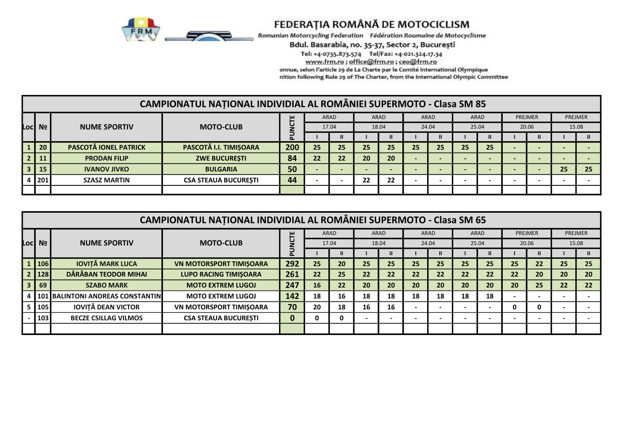

Romanian Motorcycling Federation Fédération Roumaine de Motocyclisme

Bdul. Basarabia, no. 35-37, Sector 2, București

Tel: +4-0735.873.574 Tel/Fax: +4-021.324.17.34

www.frm.ro; office@frm.ro; ceo@frm.ro

onnue, selon l'article 29 de La Charte par le Comité International Olympique

nition following Rule 29 of The Charter, from the International Olympic Committee

|                 |             |                              | CAMPIONATUL NATIONAL INDIVIDIAL AL ROMÂNIEI SUPERMOTO - Clasa SM 85 |     |    |       |                          |       |    |              |    |                          |         |    |                |
|-----------------|-------------|------------------------------|---------------------------------------------------------------------|-----|----|-------|--------------------------|-------|----|--------------|----|--------------------------|---------|----|----------------|
|                 |             |                              |                                                                     | ш   |    | ARAD  |                          | ARAD  |    | ARAD         |    | ARAD                     | PREJMER |    | <b>PREJMER</b> |
|                 | Loci Nº l   | <b>NUME SPORTIV</b>          | <b>MOTO-CLUB</b>                                                    |     |    | 17.04 |                          | 18.04 |    | 24.04        |    | 25.04                    | 20.06   |    | 15.08          |
|                 |             |                              |                                                                     |     |    |       |                          |       |    | $\mathbf{I}$ |    | $\mathbf{I}$             |         |    |                |
| $\vert$ 1       | 20          | <b>PASCOTĂ IONEL PATRICK</b> | PASCOTĂ I.I. TIMIȘOARA                                              | 200 | 25 | 25    | 25                       | 25    | 25 | 25           | 25 | 25                       |         |    |                |
| $\vert 2 \vert$ | $\sqrt{11}$ | <b>PRODAN FILIP</b>          | <b>ZWE BUCURESTI</b>                                                | 84  | 22 | 22    | 20                       | 20    |    |              |    | $\overline{\phantom{0}}$ |         |    |                |
|                 | $3 \mid 15$ | <b>IVANOV JIVKO</b>          | <b>BULGARIA</b>                                                     | 50  |    |       | $\overline{\phantom{a}}$ |       |    |              |    | $\overline{\phantom{0}}$ |         | 25 | 25             |
|                 | 4 201       | <b>SZASZ MARTIN</b>          | <b>CSA STEAUA BUCURESTI</b>                                         | 44  |    |       | 22                       | 22    |    |              |    |                          |         |    |                |
|                 |             |                              |                                                                     |     |    |       |                          |       |    |              |    |                          |         |    |                |

|                | <b>CAMPIONATUL NATIONAL INDIVIDIAL AL ROMÂNIEI SUPERMOTO - Clasa SM 65</b> |                                        |                                |     |    |               |    |              |    |              |    |                          |    |              |    |                |
|----------------|----------------------------------------------------------------------------|----------------------------------------|--------------------------------|-----|----|---------------|----|--------------|----|--------------|----|--------------------------|----|--------------|----|----------------|
|                |                                                                            |                                        |                                | 쁜   |    | ARAD          |    | ARAD         |    | ARAD         |    | ARAD                     |    | PREJMER      |    | <b>PREJMER</b> |
|                | Loc  Nº                                                                    | <b>NUME SPORTIV</b>                    | <b>MOTO-CLUB</b>               |     |    | 17.04         |    | 18.04        |    | 24.04        |    | 25.04                    |    | 20.06        |    | 15.08          |
|                |                                                                            |                                        |                                | ௳   |    | $\mathbf{II}$ |    | $\mathbf{I}$ |    | $\mathbf{I}$ |    |                          |    | $\mathbf{u}$ |    |                |
|                | 1 106                                                                      | <b>IOVITĂ MARK LUCA</b>                | <b>VN MOTORSPORT TIMISOARA</b> | 292 | 25 | 20            | 25 | 25           | 25 | 25           | 25 | 25                       | 25 | 22           | 25 | 25             |
|                | 2 128                                                                      | DĂRĂBAN TEODOR MIHAI                   | <b>LUPO RACING TIMISOARA</b>   | 261 | 22 | 25            | 22 | 22           | 22 | 22           | 22 | 22                       | 22 | 20           | 20 | 20             |
| 3 <sup>1</sup> | 69                                                                         | <b>SZABO MARK</b>                      | <b>MOTO EXTREM LUGOJ</b>       | 247 | 16 | 22            | 20 | 20           | 20 | 20           | 20 | 20                       | 20 | 25           | 22 | 22             |
|                |                                                                            | 4   101   BALINTONI ANDREAS CONSTANTIN | <b>MOTO EXTREM LUGOJ</b>       | 142 | 18 | 16            | 18 | 18           | 18 | 18           | 18 | 18                       |    |              |    |                |
|                | 105                                                                        | <b>IOVITĂ DEAN VICTOR</b>              | <b>VN MOTORSPORT TIMISOARA</b> | 70  | 20 | 18            | 16 | 16           |    |              |    | $\overline{\phantom{a}}$ | 0  | 0            |    |                |
|                | 103                                                                        | <b>BECZE CSILLAG VILMOS</b>            | <b>CSA STEAUA BUCURESTI</b>    | 0   | 0  | 0             |    |              |    |              |    |                          |    |              |    |                |
|                |                                                                            |                                        |                                |     |    |               |    |              |    |              |    |                          |    |              |    |                |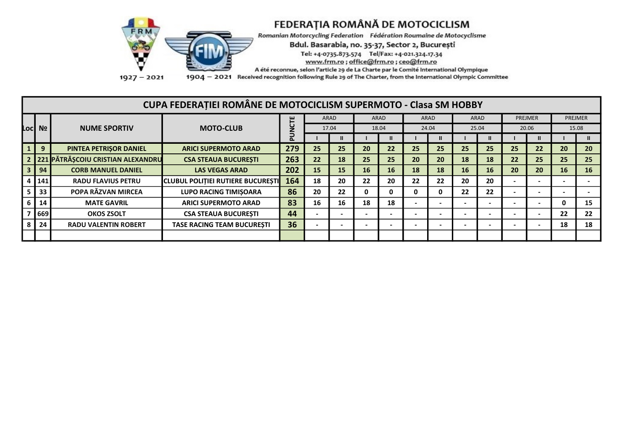

Romanian Motorcycling Federation Fédération Roumaine de Motocyclisme

Bdul. Basarabia, no. 35-37, Sector 2, București

Tel: +4-0735.873.574 Tel/Fax: +4-021.324.17.34

www.frm.ro; office@frm.ro; ceo@frm.ro

A été reconnue, selon l'article 29 de La Charte par le Comité International Olympique

 $1927 - 2021$ 

1904 - 2021 Received recognition following Rule 29 of The Charter, from the International Olympic Committee

|                | CUPA FEDERAȚIEI ROMÂNE DE MOTOCICLISM SUPERMOTO - Clasa SM HOBBY |                                     |                                                     |               |                          |       |    |             |    |                          |           |       |    |         |                          |                |
|----------------|------------------------------------------------------------------|-------------------------------------|-----------------------------------------------------|---------------|--------------------------|-------|----|-------------|----|--------------------------|-----------|-------|----|---------|--------------------------|----------------|
|                |                                                                  |                                     |                                                     |               |                          | ARAD  |    | <b>ARAD</b> |    | ARAD                     |           | ARAD  |    | PREJMER |                          | <b>PREJMER</b> |
|                | Loc Nº                                                           | <b>NUME SPORTIV</b>                 | <b>MOTO-CLUB</b>                                    | <b>NCTE</b>   |                          | 17.04 |    | 18.04       |    | 24.04                    |           | 25.04 |    | 20.06   |                          | 15.08          |
|                |                                                                  |                                     |                                                     | ⋾<br><u>ه</u> |                          |       |    |             |    | $\mathbf{u}$             |           |       |    |         |                          |                |
|                | 9                                                                | PINTEA PETRISOR DANIEL              | <b>ARICI SUPERMOTO ARAD</b>                         | 279           | 25                       | 25    | 20 | 22          | 25 | 25                       | 25        | 25    | 25 | 22      | 20                       | 20             |
|                |                                                                  | 2 221 PĂTRĂȘCOIU CRISTIAN ALEXANDRU | <b>CSA STEAUA BUCURESTI</b>                         | 263           | 22                       | 18    | 25 | 25          | 20 | 20                       | 18        | 18    | 22 | 25      | 25                       | 25             |
| 3 <sup>1</sup> | 94                                                               | <b>CORB MANUEL DANIEL</b>           | <b>LAS VEGAS ARAD</b>                               | 202           | 15                       | 15    | 16 | 16          | 18 | 18                       | <b>16</b> | 16    | 20 | 20      | 16                       | 16             |
|                | 141                                                              | <b>RADU FLAVIUS PETRU</b>           | <b>I</b> CLUBUL POLITIEI RUTIERE BUCURESTI <b>I</b> | 164           | 18                       | 20    | 22 | 20          | 22 | 22                       | 20        | 20    |    |         |                          |                |
|                | 33                                                               | POPA RĂZVAN MIRCEA                  | <b>LUPO RACING TIMIŞOARA</b>                        | 86            | 20                       | 22    | 0  |             | 0  | 0                        | 22        | 22    |    |         | $\overline{\phantom{a}}$ |                |
| 6              | 14                                                               | <b>MATE GAVRIL</b>                  | <b>ARICI SUPERMOTO ARAD</b>                         | 83            | 16                       | 16    | 18 | 18          |    |                          |           |       |    |         | 0                        | 15             |
|                | 669                                                              | <b>OKOS ZSOLT</b>                   | <b>CSA STEAUA BUCURESTI</b>                         | 44            | $\overline{\phantom{0}}$ |       |    |             |    | $\overline{\phantom{a}}$ |           |       |    |         | 22                       | 22             |
|                | 24                                                               | <b>RADU VALENTIN ROBERT</b>         | <b>TASE RACING TEAM BUCURESTI</b>                   | 36            |                          |       |    |             |    | $\overline{\phantom{0}}$ |           |       |    |         | 18                       | 18             |
|                |                                                                  |                                     |                                                     |               |                          |       |    |             |    |                          |           |       |    |         |                          |                |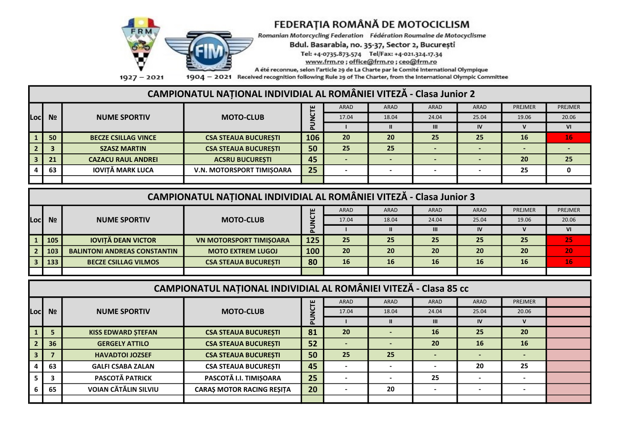

Romanian Motorcycling Federation Fédération Roumaine de Motocyclisme

#### Bdul. Basarabia, no. 35-37, Sector 2, București

Tel: +4-0735.873.574 Tel/Fax: +4-021.324.17.34

www.frm.ro; office@frm.ro; ceo@frm.ro

A été reconnue, selon l'article 29 de La Charte par le Comité International Olympique

 $1927 - 2021$ 

1904 - 2021 Received recognition following Rule 29 of The Charter, from the International Olympic Committee

# CAMPIONATUL NAȚIONAL INDIVIDIAL AL ROMÂNIEI VITEZĂ - Clasa Junior 2

|      |                |                            |                                  | ш   | <b>ARAD</b> | ARAD                     | ARAD  | ARAD  | PREJMER   | PREJMER                  |
|------|----------------|----------------------------|----------------------------------|-----|-------------|--------------------------|-------|-------|-----------|--------------------------|
| Locl | N <sub>o</sub> | <b>NUME SPORTIV</b>        | <b>MOTO-CLUB</b>                 | L   | 17.04       | 18.04                    | 24.04 | 25.04 | 19.06     | 20.06                    |
|      |                |                            |                                  |     |             |                          | Ш     | IV    |           | VI                       |
|      | 50             | <b>BECZE CSILLAG VINCE</b> | <b>CSA STEAUA BUCURESTI</b>      | 106 | 20          | 20                       | 25    | 25    | <b>16</b> | $\overline{\mathbf{16}}$ |
|      |                | <b>SZASZ MARTIN</b>        | <b>CSA STEAUA BUCURESTI</b>      | 50  | 25          | 25                       |       |       |           |                          |
|      | 21             | <b>CAZACU RAUL ANDREI</b>  | <b>ACSRU BUCURESTI</b>           | 45  |             |                          |       |       | 20        | 25                       |
|      | 63             | <b>IOVITĂ MARK LUCA</b>    | <b>V.N. MOTORSPORT TIMISOARA</b> | 25  |             | $\overline{\phantom{0}}$ |       |       | 25        |                          |
|      |                |                            |                                  |     |             |                          |       |       |           |                          |

|      | CAMPIONATUL NAȚIONAL INDIVIDIAL AL ROMÂNIEI VITEZĂ - Clasa Junior 3 |                                     |                                |          |             |             |       |           |           |                 |  |
|------|---------------------------------------------------------------------|-------------------------------------|--------------------------------|----------|-------------|-------------|-------|-----------|-----------|-----------------|--|
|      |                                                                     |                                     |                                | ш        | <b>ARAD</b> | <b>ARAD</b> | ARAD  | ARAD      | PREJMER   | PREJMER         |  |
| Locl | N <sub>o</sub>                                                      | <b>NUME SPORTIV</b>                 | <b>MOTO-CLUB</b>               |          | 17.04       | 18.04       | 24.04 | 25.04     | 19.06     | 20.06           |  |
|      |                                                                     |                                     |                                | $\Delta$ |             |             |       | IV        |           | VI              |  |
|      | 105                                                                 | <b>IOVITĂ DEAN VICTOR</b>           | <b>VN MOTORSPORT TIMISOARA</b> | 125      | 25          | 25          | 25    | 25        | 25        | 25              |  |
|      | 103                                                                 | <b>BALINTONI ANDREAS CONSTANTIN</b> | <b>MOTO EXTREM LUGOJ</b>       | 100      | 20          | 20          | 20    | 20        | 20        | 20              |  |
|      | 133                                                                 | <b>BECZE CSILLAG VILMOS</b>         | <b>CSA STEAUA BUCURESTI</b>    | 80       | 16          | 16          | 16    | <b>16</b> | <b>16</b> | 16 <sup>1</sup> |  |
|      |                                                                     |                                     |                                |          |             |             |       |           |           |                 |  |

|                                                                                                                    | CAMPIONATUL NAȚIONAL INDIVIDIAL AL ROMÂNIEI VITEZĂ - Clasa 85 cc |                             |                                  |             |             |       |             |             |                |  |  |  |
|--------------------------------------------------------------------------------------------------------------------|------------------------------------------------------------------|-----------------------------|----------------------------------|-------------|-------------|-------|-------------|-------------|----------------|--|--|--|
|                                                                                                                    |                                                                  |                             |                                  |             | <b>ARAD</b> | ARAD  | <b>ARAD</b> | <b>ARAD</b> | <b>PREJMER</b> |  |  |  |
| Locl                                                                                                               | N <sub>2</sub>                                                   | <b>NUME SPORTIV</b>         | <b>MOTO-CLUB</b>                 | <b>NCTE</b> | 17.04       | 18.04 | 24.04       | 25.04       | 20.06          |  |  |  |
|                                                                                                                    |                                                                  |                             |                                  |             |             | Ш     |             | IV          |                |  |  |  |
| 81<br>25<br>20<br>20<br>16<br><b>CSA STEAUA BUCURESTI</b><br><b>KISS EDWARD STEFAN</b><br>$\overline{\phantom{a}}$ |                                                                  |                             |                                  |             |             |       |             |             |                |  |  |  |
|                                                                                                                    | 36                                                               | <b>GERGELY ATTILO</b>       | <b>CSA STEAUA BUCURESTI</b>      | 52          |             |       | 20          | <b>16</b>   | <b>16</b>      |  |  |  |
|                                                                                                                    |                                                                  | <b>HAVADTOI JOZSEF</b>      | <b>CSA STEAUA BUCURESTI</b>      | 50          | 25          | 25    |             |             |                |  |  |  |
|                                                                                                                    | 63                                                               | <b>GALFI CSABA ZALAN</b>    | <b>CSA STEAUA BUCURESTI</b>      | 45          |             |       |             | 20          | 25             |  |  |  |
|                                                                                                                    |                                                                  | <b>PASCOTĂ PATRICK</b>      | PASCOTĂ I.I. TIMIȘOARA           | 25          |             |       | 25          |             |                |  |  |  |
|                                                                                                                    | 65                                                               | <b>VOIAN CĂTĂLIN SILVIU</b> | <b>CARAS MOTOR RACING RESITA</b> | 20          |             | 20    |             |             |                |  |  |  |
|                                                                                                                    |                                                                  |                             |                                  |             |             |       |             |             |                |  |  |  |